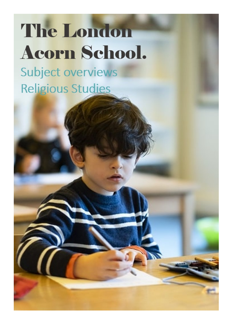## **The London Acorn School.**

Subject overviews **Religious Studies**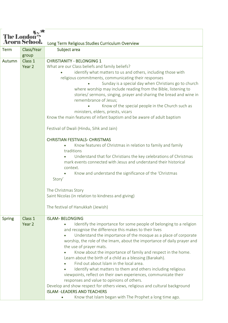| <b>The London</b><br><b>Acorn School.</b> |                   |                                                                                                                        |
|-------------------------------------------|-------------------|------------------------------------------------------------------------------------------------------------------------|
|                                           |                   | Long Term Religious Studies Curriculum Overview                                                                        |
| <b>Term</b>                               | Class/Year        | Subject area                                                                                                           |
|                                           | group             |                                                                                                                        |
| Autumn                                    | Class 1           | <b>CHRISTIANITY - BELONGING 1</b>                                                                                      |
|                                           | Year <sub>2</sub> | What are our Class beliefs and family beliefs?                                                                         |
|                                           |                   | identify what matters to us and others, including those with                                                           |
|                                           |                   | religious commitments, communicating their responses                                                                   |
|                                           |                   | Sunday is a special day when Christians go to church<br>where worship may include reading from the Bible, listening to |
|                                           |                   | stories/ sermons, singing, prayer and sharing the bread and wine in                                                    |
|                                           |                   | remembrance of Jesus;                                                                                                  |
|                                           |                   | Know of the special people in the Church such as                                                                       |
|                                           |                   | ministers, elders, priests, vicars                                                                                     |
|                                           |                   | Know the main features of infant baptism and be aware of adult baptism                                                 |
|                                           |                   |                                                                                                                        |
|                                           |                   | Festival of Dwali (Hindu, Sihk and Jain)                                                                               |
|                                           |                   | <b>CHRISTIAN FESTIVALS- CHRISTMAS</b>                                                                                  |
|                                           |                   | Know features of Christmas in relation to family and family                                                            |
|                                           |                   | traditions                                                                                                             |
|                                           |                   | Understand that for Christians the key celebrations of Christmas                                                       |
|                                           |                   | mark events connected with Jesus and understand their historical                                                       |
|                                           |                   | context.                                                                                                               |
|                                           |                   | Know and understand the significance of the 'Christmas                                                                 |
|                                           |                   | Story'                                                                                                                 |
|                                           |                   | The Christmas Story                                                                                                    |
|                                           |                   | Saint Nicolas (in relation to kindness and giving)                                                                     |
|                                           |                   |                                                                                                                        |
|                                           |                   | The festival of Hanukkah (Jewish)                                                                                      |
| <b>Spring</b>                             | Class 1           | <b>ISLAM-BELONGING</b>                                                                                                 |
|                                           | Year 2            | Identify the importance for some people of belonging to a religion                                                     |
|                                           |                   | and recognise the difference this makes to their lives                                                                 |
|                                           |                   | Understand the importance of the mosque as a place of corporate                                                        |
|                                           |                   | worship, the role of the Imam, about the importance of daily prayer and                                                |
|                                           |                   | the use of prayer mats.                                                                                                |
|                                           |                   | Know about the importance of family and respect in the home.                                                           |
|                                           |                   | Learn about the birth of a child as a blessing (Barakah).                                                              |
|                                           |                   | Find out about Islam in the local area.                                                                                |
|                                           |                   | Identify what matters to them and others including religious                                                           |
|                                           |                   | viewpoints, reflect on their own experiences, communicate their                                                        |
|                                           |                   | responses and value to opinions of others.                                                                             |
|                                           |                   | Develop and show respect for others views, religious and cultural background<br><b>ISLAM -LEADERS AND TEACHERS</b>     |
|                                           |                   | Know that Islam began with The Prophet a long time ago.                                                                |
|                                           |                   |                                                                                                                        |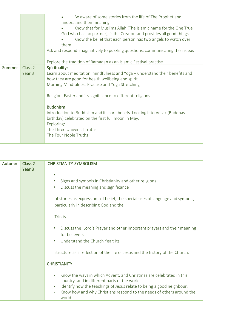|        |                    | Be aware of some stories from the life of The Prophet and<br>understand their meaning<br>Know that for Muslims Allah (The Islamic name for the One True<br>God who has no partner), is the Creator, and provides all good things<br>Know the belief that each person has two angels to watch over<br>them<br>Ask and respond imaginatively to puzzling questions, communicating their ideas |
|--------|--------------------|---------------------------------------------------------------------------------------------------------------------------------------------------------------------------------------------------------------------------------------------------------------------------------------------------------------------------------------------------------------------------------------------|
|        |                    | Explore the tradition of Ramadan as an Islamic Festival practise                                                                                                                                                                                                                                                                                                                            |
| Summer | Class 2            | Spirituality:                                                                                                                                                                                                                                                                                                                                                                               |
|        | Year 3             | Learn about meditation, mindfulness and Yoga - understand their benefits and                                                                                                                                                                                                                                                                                                                |
|        |                    | how they are good for health wellbeing and spirit.                                                                                                                                                                                                                                                                                                                                          |
|        |                    | Morning Mindfulness Practise and Yoga Stretching                                                                                                                                                                                                                                                                                                                                            |
|        |                    |                                                                                                                                                                                                                                                                                                                                                                                             |
|        |                    | Religion- Easter and its significance to different religions                                                                                                                                                                                                                                                                                                                                |
|        |                    | <b>Buddhism</b>                                                                                                                                                                                                                                                                                                                                                                             |
|        |                    | introduction to Buddhism and its core beliefs. Looking into Vesak (Buddhas                                                                                                                                                                                                                                                                                                                  |
|        |                    | birthday) celebrated on the first full moon in May.                                                                                                                                                                                                                                                                                                                                         |
|        |                    | Exploring:                                                                                                                                                                                                                                                                                                                                                                                  |
|        |                    | The Three Universal Truths                                                                                                                                                                                                                                                                                                                                                                  |
|        |                    | The Four Noble Truths                                                                                                                                                                                                                                                                                                                                                                       |
|        |                    |                                                                                                                                                                                                                                                                                                                                                                                             |
|        |                    |                                                                                                                                                                                                                                                                                                                                                                                             |
|        |                    |                                                                                                                                                                                                                                                                                                                                                                                             |
| Autumn | Class <sub>2</sub> | <b>CHRISTIANITY-SYMBOLISM</b>                                                                                                                                                                                                                                                                                                                                                               |
|        | Year <sub>3</sub>  |                                                                                                                                                                                                                                                                                                                                                                                             |

- • Signs and symbols in Christianity and other religions
	- Discuss the meaning and significance

of stories as expressions of belief, the special uses of language and symbols, particularly in describing God and the

Trinity.

- Discuss the Lord's Prayer and other important prayers and their meaning for believers.
- Understand the Church Year: its

structure as a reflection of the life of Jesus and the history of the Church.

## **CHRISTIANITY**

- Know the ways in which Advent, and Christmas are celebrated in this country, and in different parts of the world
- Identify how the teachings of Jesus relate to being a good neighbour.
- Know how and why Christians respond to the needs of others around the world.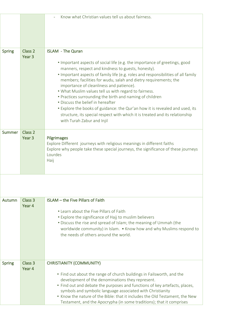|               |                                         | Know what Christian values tell us about fairness.                                                                                                                                                                                                                                                                                                                                                                                                                                                                                                                                                                                                                                                                        |
|---------------|-----------------------------------------|---------------------------------------------------------------------------------------------------------------------------------------------------------------------------------------------------------------------------------------------------------------------------------------------------------------------------------------------------------------------------------------------------------------------------------------------------------------------------------------------------------------------------------------------------------------------------------------------------------------------------------------------------------------------------------------------------------------------------|
| <b>Spring</b> | Class <sub>2</sub><br>Year <sub>3</sub> | <b>ISLAM</b> - The Quran<br>• Important aspects of social life (e.g. the importance of greetings, good<br>manners, respect and kindness to guests, honesty).<br>. Important aspects of family life (e.g. roles and responsibilities of all family<br>members; facilities for wudu, salah and dietry requirements; the<br>importance of cleanliness and patience).<br>. What Muslim values tell us with regard to fairness.<br>• Practices surrounding the birth and naming of children<br>• Discuss the belief in hereafter<br>• Explore the books of guidance: the Qur'an how it is revealed and used, its<br>structure, its special respect with which it is treated and its relationship<br>with Turah Zabur and Injil |
| Summer        | Class 2<br>Year <sub>3</sub>            | Pilgrimages<br>Explore Different journeys with religious meanings in different faiths<br>Explore why people take these special journeys, the significance of these journeys<br>Lourdes<br>Haij                                                                                                                                                                                                                                                                                                                                                                                                                                                                                                                            |

| Autumn        | Class 3<br>Year 4 | <b>ISLAM</b> – the Five Pillars of Faith<br>• Learn about the Five Pillars of Faith<br>• Explore the significance of Hajj to muslim believers<br>• Discuss the rise and spread of Islam; the meaning of Ummah (the<br>worldwide community) in Islam. • Know how and why Muslims respond to<br>the needs of others around the world.                                                                                                                             |
|---------------|-------------------|-----------------------------------------------------------------------------------------------------------------------------------------------------------------------------------------------------------------------------------------------------------------------------------------------------------------------------------------------------------------------------------------------------------------------------------------------------------------|
| <b>Spring</b> | Class 3<br>Year 4 | <b>CHRISTIANITY (COMMUNITY)</b><br>• Find out about the range of church buildings in Failsworth, and the<br>development of the denominations they represent.<br>• Find out and debate the purposes and functions of key artefacts, places,<br>symbols and symbolic language associated with Christianity<br>• Know the nature of the Bible: that it includes the Old Testament, the New<br>Testament, and the Apocrypha (in some traditions); that it comprises |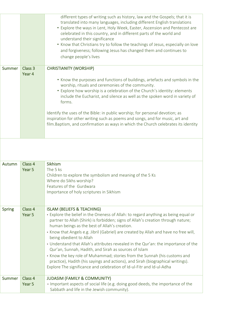|        |                   | different types of writing such as history, law and the Gospels; that it is<br>translated into many languages, including different English translations<br>• Explore the ways in Lent, Holy Week, Easter, Ascension and Pentecost are<br>celebrated in this country, and in different parts of the world and<br>understand their significance<br>• Know that Christians try to follow the teachings of Jesus, especially on love<br>and forgiveness; following Jesus has changed them and continues to<br>change people's lives                                                                  |
|--------|-------------------|--------------------------------------------------------------------------------------------------------------------------------------------------------------------------------------------------------------------------------------------------------------------------------------------------------------------------------------------------------------------------------------------------------------------------------------------------------------------------------------------------------------------------------------------------------------------------------------------------|
| Summer | Class 3<br>Year 4 | <b>CHRISTIANITY (WORSHIP)</b><br>• Know the purposes and functions of buildings, artefacts and symbols in the<br>worship, rituals and ceremonies of the community.<br>• Explore how worship is a celebration of the Church's identity: elements<br>include the Eucharist, and silence as well as the spoken word in variety of<br>forms.<br>Identify the uses of the Bible: in public worship; for personal devotion; as<br>inspiration for other writing such as poems and songs, and for music, art and<br>film. Baptism, and confirmation as ways in which the Church celebrates its identity |

| Autumn        | Class 4 | Sikhism                                                                                                                                     |
|---------------|---------|---------------------------------------------------------------------------------------------------------------------------------------------|
|               | Year 5  | The 5 ks                                                                                                                                    |
|               |         | Children to explore the symbolism and meaning of the 5 Ks                                                                                   |
|               |         | Where do Sikhs worship?                                                                                                                     |
|               |         | Features of the Gurdwara                                                                                                                    |
|               |         | Importance of holy scriptures in Sikhism                                                                                                    |
|               |         |                                                                                                                                             |
|               |         |                                                                                                                                             |
| <b>Spring</b> | Class 4 | <b>ISLAM (BELIEFS &amp; TEACHING)</b>                                                                                                       |
|               | Year 5  | • Explore the belief in the Oneness of Allah: to regard anything as being equal or                                                          |
|               |         | partner to Allah (Shirk) is forbidden; signs of Allah's creation through nature;                                                            |
|               |         | human beings as the best of Allah's creation.                                                                                               |
|               |         | • Know that Angels e.g. Jibril (Gabriel) are created by Allah and have no free will,                                                        |
|               |         | being obedient to Allah                                                                                                                     |
|               |         | • Understand that Allah's attributes revealed in the Qur'an: the importance of the<br>Qur'an, Sunnah, Hadith, and Sirah as sources of Islam |
|               |         | • Know the key role of Muhammad; stories from the Sunnah (his customs and                                                                   |
|               |         | practice), Hadith (his sayings and actions), and Sirah (biographical writings).                                                             |
|               |         | Explore The significance and celebration of Id-ul-Fitr and Id-ul-Adha                                                                       |
|               |         |                                                                                                                                             |
| Summer        | Class 4 | <b>JUDASIM (FAMILY &amp; COMMUNITY)</b>                                                                                                     |
|               | Year 5  | . Important aspects of social life (e.g. doing good deeds, the importance of the                                                            |
|               |         | Sabbath and life in the Jewish community).                                                                                                  |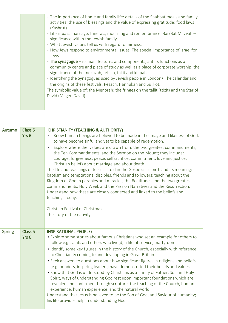|  | • The importance of home and family life: details of the Shabbat meals and family<br>activities; the use of blessings and the value of expressing gratitude; food laws<br>(Kashrut).                                        |
|--|-----------------------------------------------------------------------------------------------------------------------------------------------------------------------------------------------------------------------------|
|  | . Life rituals: marriage, funerals, mourning and remembrance. Bar/Bat Mitzvah -<br>significance within the Jewish family.                                                                                                   |
|  | • What Jewish values tell us with regard to fairness.                                                                                                                                                                       |
|  | • How Jews respond to environmental issues. The special importance of Israel for<br>Jews.                                                                                                                                   |
|  | • The synagogue – its main features and components, ant its functions as a<br>community centre and place of study as well as a place of corporate worship; the<br>significance of the mezuzah, tefillin, tallit and kippah. |
|  | • Identifying the Synagogues used by Jewish people in London• The calendar and<br>the origins of these festivals: Pesach, Hannukah and Sukkot.                                                                              |
|  | The symbolic value of: the Menorah; the fringes on the tallit (tzizit) and the Star of<br>David (Magen David).                                                                                                              |
|  |                                                                                                                                                                                                                             |

| Autumn        | Class <sub>5</sub> | <b>CHRISTIANITY (TEACHING &amp; AUTHORITY)</b>                                                                                                             |
|---------------|--------------------|------------------------------------------------------------------------------------------------------------------------------------------------------------|
|               | Yrs <sub>6</sub>   | Know human beings are believed to be made in the image and likeness of God,                                                                                |
|               |                    | to have become sinful and yet to be capable of redemption.                                                                                                 |
|               |                    | Explore where the values are drawn from: the two greatest commandments,                                                                                    |
|               |                    | the Ten Commandments, and the Sermon on the Mount; they include:                                                                                           |
|               |                    | courage, forgiveness, peace, selfsacrifice, commitment, love and justice;                                                                                  |
|               |                    | Christian beliefs about marriage and about death.                                                                                                          |
|               |                    | The life and teachings of Jesus as told in the Gospels: his birth and its meaning;                                                                         |
|               |                    | baptism and temptations; disciples, friends and followers; teaching about the                                                                              |
|               |                    | Kingdom of God in parables and miracles; the Beatitudes and the two greatest                                                                               |
|               |                    | commandments; Holy Week and the Passion Narratives and the Resurrection.                                                                                   |
|               |                    | Understand how these are closely connected and linked to the beliefs and<br>teachings today.                                                               |
|               |                    |                                                                                                                                                            |
|               |                    | Christian Festival of Christmas                                                                                                                            |
|               |                    | The story of the nativity                                                                                                                                  |
|               |                    |                                                                                                                                                            |
|               |                    |                                                                                                                                                            |
| <b>Spring</b> | Class <sub>5</sub> | <b>INSPIRATIONAL PEOPLE)</b>                                                                                                                               |
|               | Yrs <sub>6</sub>   | • Explore some stories about famous Christians who set an example for others to<br>follow e.g. saints and others who live(d) a life of service; martyrdom. |
|               |                    | • Identify some key figures in the history of the Church, especially with reference<br>to Christianity coming to and developing in Great Britain.          |
|               |                    | • Seek answers to questions about how significant figures in religions and beliefs                                                                         |
|               |                    | (e.g founders, inspiring leaders) have demonstrated their beliefs and values                                                                               |
|               |                    | • Know that God is understood by Christians as a Trinity of Father, Son and Holy                                                                           |
|               |                    | Spirit, ways of understanding God rest upon important foundations which are                                                                                |
|               |                    | revealed and confirmed through scripture, the teaching of the Church, human                                                                                |
|               |                    | experience, human experience, and the natural world.                                                                                                       |
|               |                    | Understand that Jesus is believed to be the Son of God, and Saviour of humanity;                                                                           |
|               |                    | his life provides help in understanding God                                                                                                                |
|               |                    |                                                                                                                                                            |